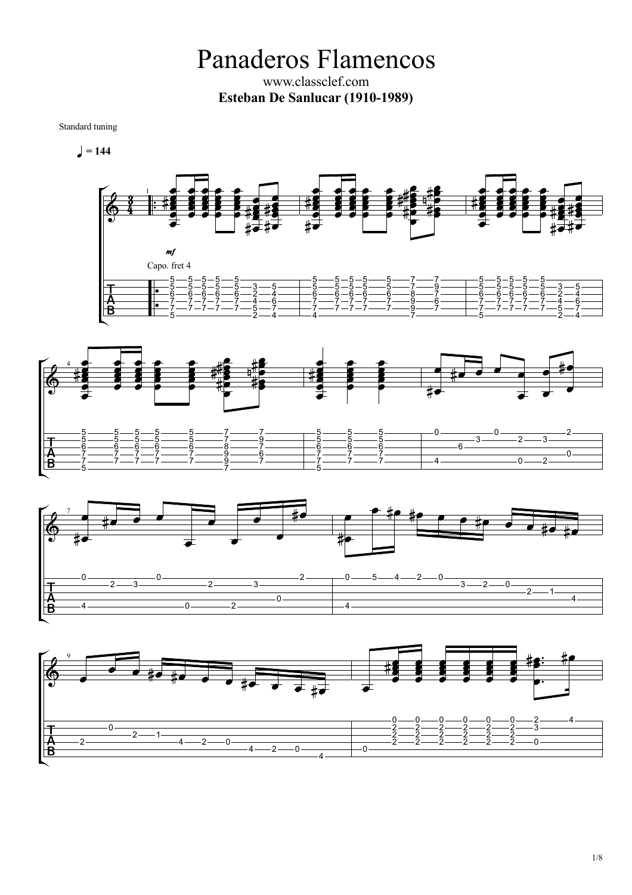Panaderos Flamencos www.classclef.com

**Esteban De Sanlucar(1910-1989)**

Standard tuning









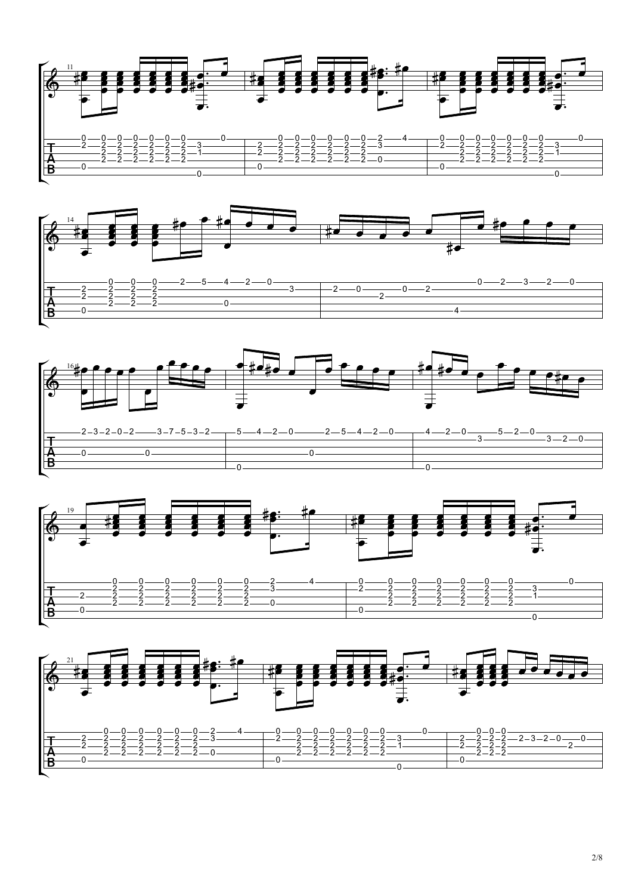







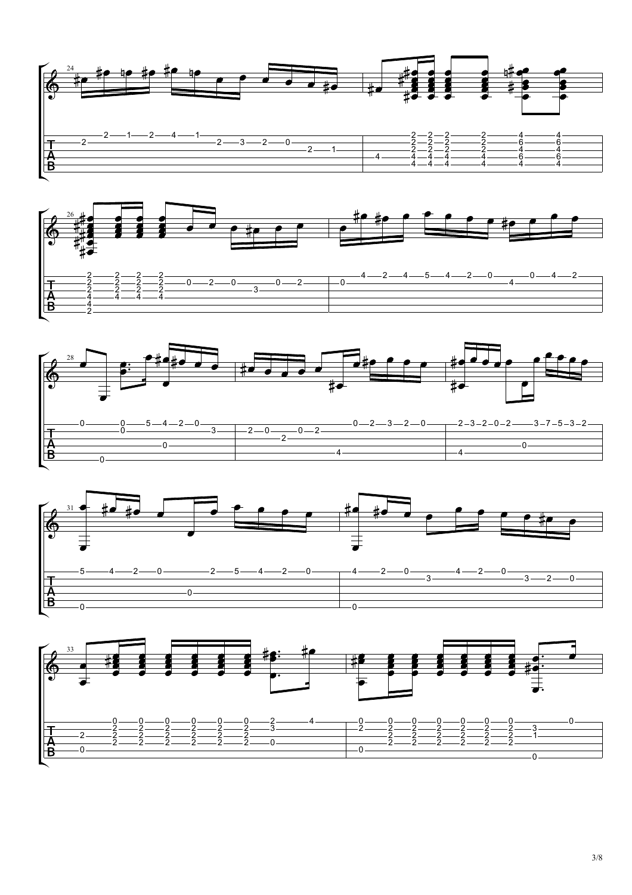







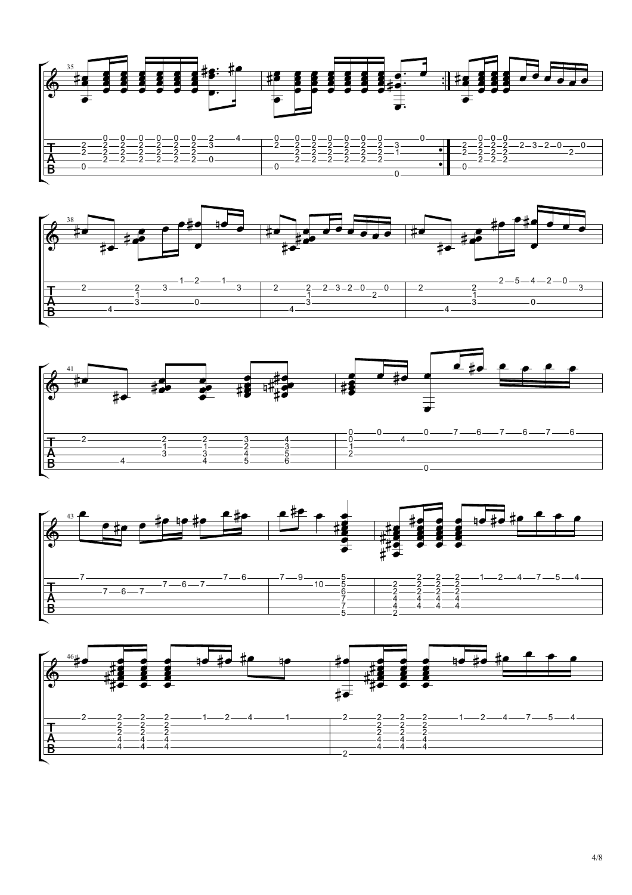









4/8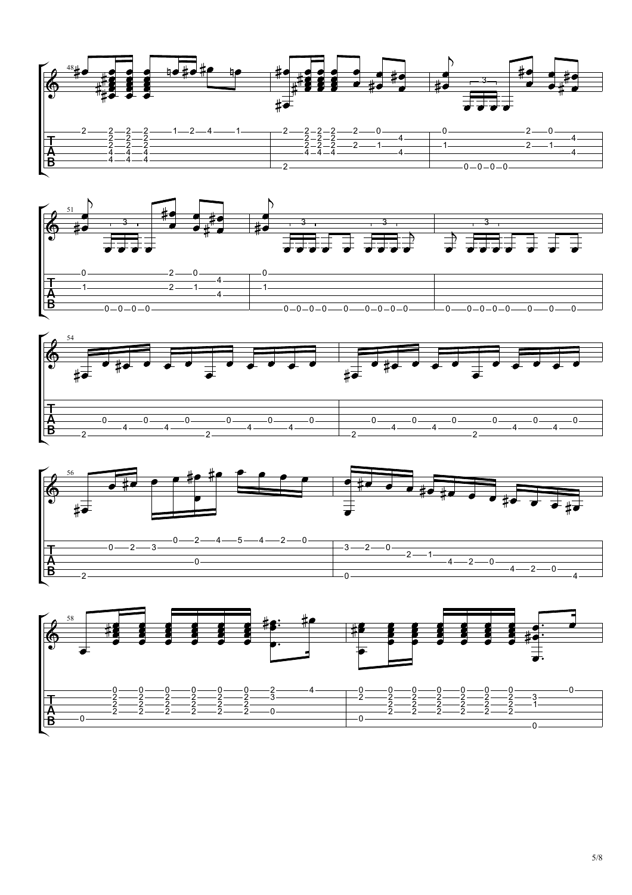







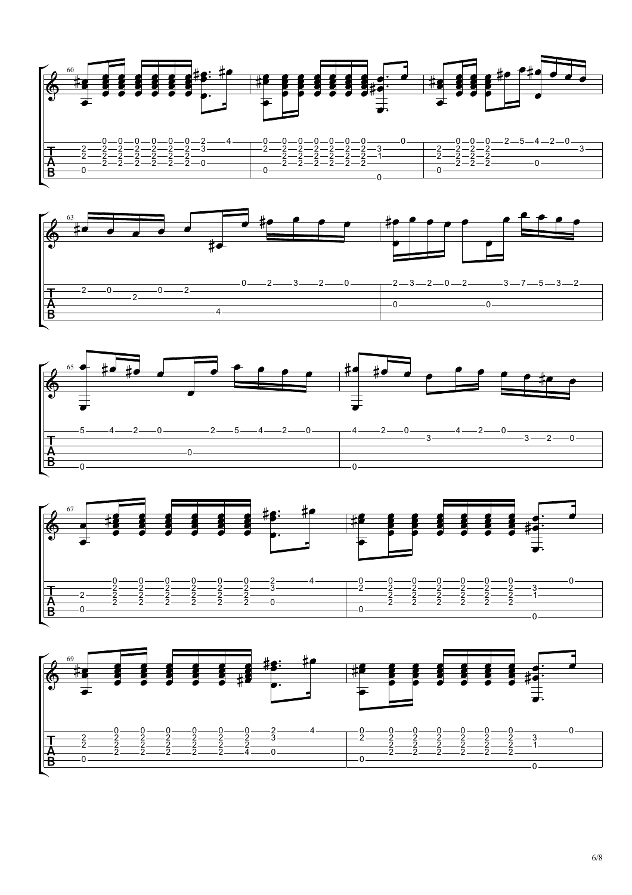







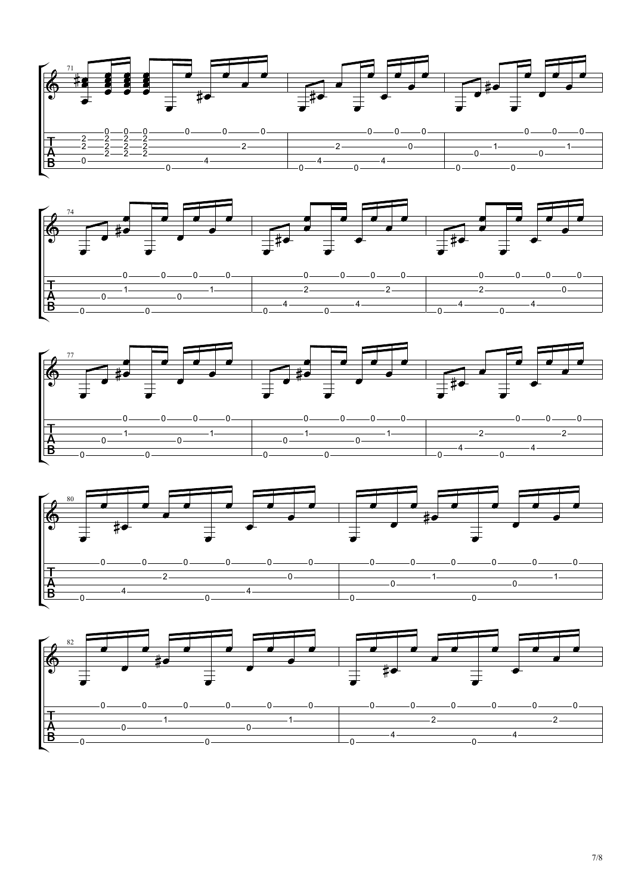